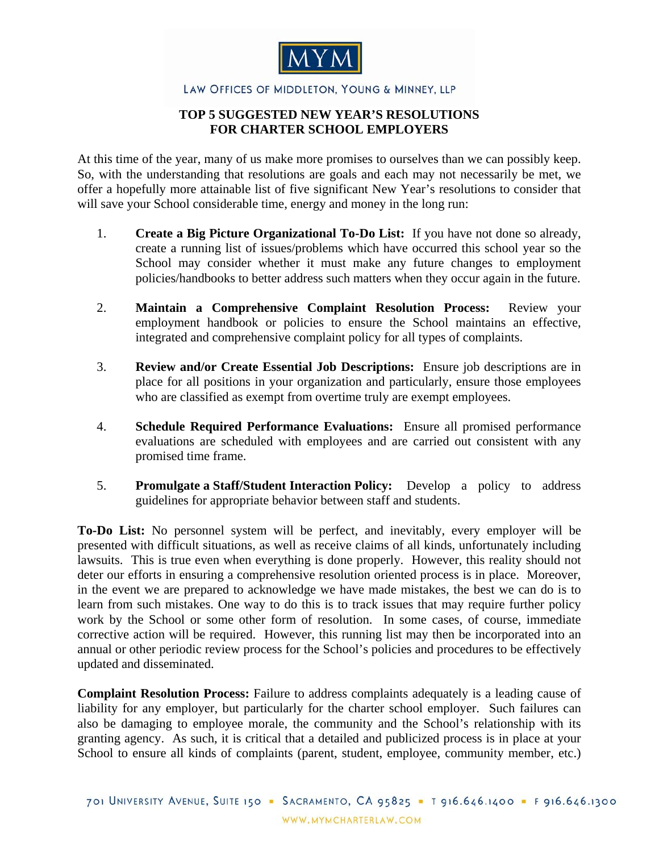

## LAW OFFICES OF MIDDLETON, YOUNG & MINNEY, LLP

## **TOP 5 SUGGESTED NEW YEAR'S RESOLUTIONS FOR CHARTER SCHOOL EMPLOYERS**

At this time of the year, many of us make more promises to ourselves than we can possibly keep. So, with the understanding that resolutions are goals and each may not necessarily be met, we offer a hopefully more attainable list of five significant New Year's resolutions to consider that will save your School considerable time, energy and money in the long run:

- 1. **Create a Big Picture Organizational To-Do List:** If you have not done so already, create a running list of issues/problems which have occurred this school year so the School may consider whether it must make any future changes to employment policies/handbooks to better address such matters when they occur again in the future.
- 2. **Maintain a Comprehensive Complaint Resolution Process:** Review your employment handbook or policies to ensure the School maintains an effective, integrated and comprehensive complaint policy for all types of complaints.
- 3. **Review and/or Create Essential Job Descriptions:** Ensure job descriptions are in place for all positions in your organization and particularly, ensure those employees who are classified as exempt from overtime truly are exempt employees.
- 4. **Schedule Required Performance Evaluations:** Ensure all promised performance evaluations are scheduled with employees and are carried out consistent with any promised time frame.
- 5. **Promulgate a Staff/Student Interaction Policy:** Develop a policy to address guidelines for appropriate behavior between staff and students.

**To-Do List:** No personnel system will be perfect, and inevitably, every employer will be presented with difficult situations, as well as receive claims of all kinds, unfortunately including lawsuits. This is true even when everything is done properly. However, this reality should not deter our efforts in ensuring a comprehensive resolution oriented process is in place. Moreover, in the event we are prepared to acknowledge we have made mistakes, the best we can do is to learn from such mistakes. One way to do this is to track issues that may require further policy work by the School or some other form of resolution. In some cases, of course, immediate corrective action will be required. However, this running list may then be incorporated into an annual or other periodic review process for the School's policies and procedures to be effectively updated and disseminated.

**Complaint Resolution Process:** Failure to address complaints adequately is a leading cause of liability for any employer, but particularly for the charter school employer. Such failures can also be damaging to employee morale, the community and the School's relationship with its granting agency. As such, it is critical that a detailed and publicized process is in place at your School to ensure all kinds of complaints (parent, student, employee, community member, etc.)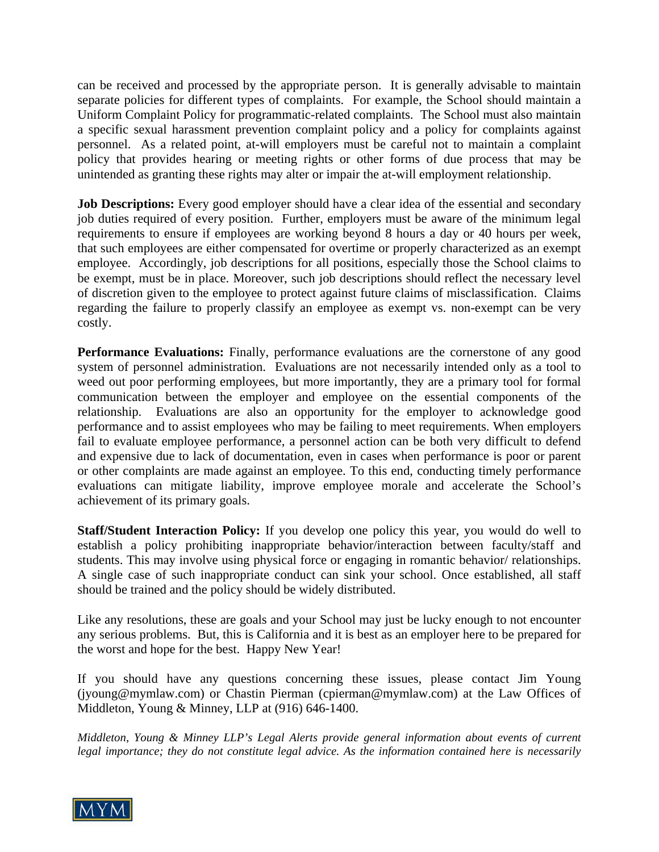can be received and processed by the appropriate person. It is generally advisable to maintain separate policies for different types of complaints. For example, the School should maintain a Uniform Complaint Policy for programmatic-related complaints. The School must also maintain a specific sexual harassment prevention complaint policy and a policy for complaints against personnel. As a related point, at-will employers must be careful not to maintain a complaint policy that provides hearing or meeting rights or other forms of due process that may be unintended as granting these rights may alter or impair the at-will employment relationship.

**Job Descriptions:** Every good employer should have a clear idea of the essential and secondary job duties required of every position. Further, employers must be aware of the minimum legal requirements to ensure if employees are working beyond 8 hours a day or 40 hours per week, that such employees are either compensated for overtime or properly characterized as an exempt employee. Accordingly, job descriptions for all positions, especially those the School claims to be exempt, must be in place. Moreover, such job descriptions should reflect the necessary level of discretion given to the employee to protect against future claims of misclassification. Claims regarding the failure to properly classify an employee as exempt vs. non-exempt can be very costly.

**Performance Evaluations:** Finally, performance evaluations are the cornerstone of any good system of personnel administration. Evaluations are not necessarily intended only as a tool to weed out poor performing employees, but more importantly, they are a primary tool for formal communication between the employer and employee on the essential components of the relationship. Evaluations are also an opportunity for the employer to acknowledge good performance and to assist employees who may be failing to meet requirements. When employers fail to evaluate employee performance, a personnel action can be both very difficult to defend and expensive due to lack of documentation, even in cases when performance is poor or parent or other complaints are made against an employee. To this end, conducting timely performance evaluations can mitigate liability, improve employee morale and accelerate the School's achievement of its primary goals.

**Staff/Student Interaction Policy:** If you develop one policy this year, you would do well to establish a policy prohibiting inappropriate behavior/interaction between faculty/staff and students. This may involve using physical force or engaging in romantic behavior/ relationships. A single case of such inappropriate conduct can sink your school. Once established, all staff should be trained and the policy should be widely distributed.

Like any resolutions, these are goals and your School may just be lucky enough to not encounter any serious problems. But, this is California and it is best as an employer here to be prepared for the worst and hope for the best. Happy New Year!

If you should have any questions concerning these issues, please contact Jim Young (jyoung@mymlaw.com) or Chastin Pierman (cpierman@mymlaw.com) at the Law Offices of Middleton, Young & Minney, LLP at (916) 646-1400.

*Middleton, Young & Minney LLP's Legal Alerts provide general information about events of current legal importance; they do not constitute legal advice. As the information contained here is necessarily*